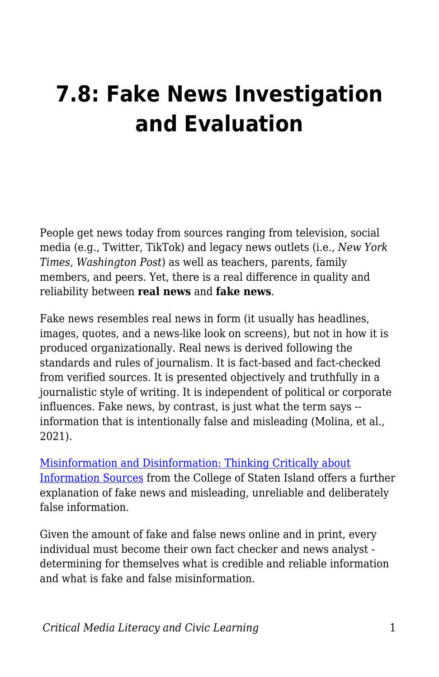# **7.8: Fake News Investigation and Evaluation**

People get news today from sources ranging from television, social media (e.g., Twitter, TikTok) and legacy news outlets (i.e., *New York Times, Washington Post*) as well as teachers, parents, family members, and peers. Yet, there is a real difference in quality and reliability between **real news** and **fake news**.

Fake news resembles real news in form (it usually has headlines, images, quotes, and a news-like look on screens), but not in how it is produced organizationally. Real news is derived following the standards and rules of journalism. It is fact-based and fact-checked from verified sources. It is presented objectively and truthfully in a journalistic style of writing. It is independent of political or corporate influences. Fake news, by contrast, is just what the term says - information that is intentionally false and misleading (Molina, et al., 2021).

[Misinformation and Disinformation: Thinking Critically about](https://library.csi.cuny.edu/misinformation) [Information Sources](https://library.csi.cuny.edu/misinformation) from the College of Staten Island offers a further explanation of fake news and misleading, unreliable and deliberately false information.

Given the amount of fake and false news online and in print, every individual must become their own fact checker and news analyst determining for themselves what is credible and reliable information and what is fake and false misinformation.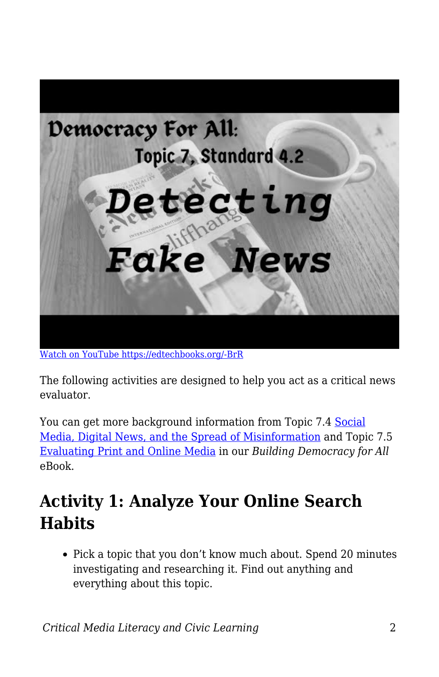

[Watch on YouTube https://edtechbooks.org/-BrR](https://www.youtube.com/embed/E1g29yWOZxQ?autoplay=1&rel=0&showinfo=0&modestbranding=1)

The following activities are designed to help you act as a critical news evaluator.

You can get more background information from Topic 7.4 [Social](https://edtechbooks.org/democracy/digital_news#h2_VQpMk) [Media, Digital News, and the Spread of Misinformation](https://edtechbooks.org/democracy/digital_news#h2_VQpMk) and Topic 7.5 [Evaluating Print and Online Media](https://edtechbooks.org/democracy/evaluating_media) in our *Building Democracy for All* eBook.

## **Activity 1: Analyze Your Online Search Habits**

• Pick a topic that you don't know much about. Spend 20 minutes investigating and researching it. Find out anything and everything about this topic.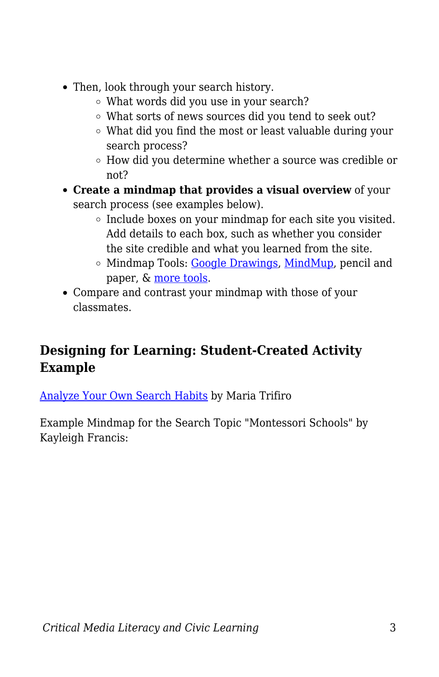- Then, look through your search history.
	- What words did you use in your search?
	- What sorts of news sources did you tend to seek out?
	- What did you find the most or least valuable during your search process?
	- How did you determine whether a source was credible or not?
- **Create a mindmap that provides a visual overview** of your search process (see examples below).
	- $\circ$  Include boxes on your mindmap for each site you visited. Add details to each box, such as whether you consider the site credible and what you learned from the site.
	- $\circ$  Mindmap Tools: [Google Drawings,](https://blogs.umass.edu/onlinetools/community-centered-tools/google-drawings/) [MindMup,](https://blogs.umass.edu/onlinetools/knowledge-centered-tools/mindmup/) pencil and paper, & [more tools](https://www.edrawmind.com/article/best-10-free-mind-mapping-software-of-2020.html).
- Compare and contrast your mindmap with those of your classmates.

## **Designing for Learning: Student-Created Activity Example**

[Analyze Your Own Search Habits](https://docs.google.com/document/d/171OQjL4V03y4BluYScc11eMAgtkJ0ZGAv6fp5Pm5StA/edit?usp=sharing) by Maria Trifiro

Example Mindmap for the Search Topic "Montessori Schools" by Kayleigh Francis: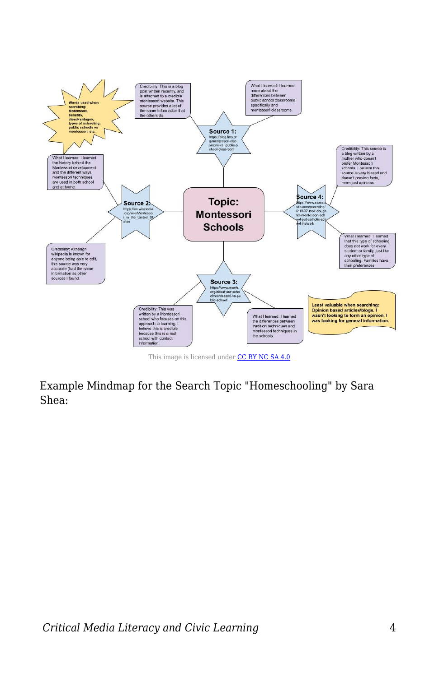

This image is licensed under [CC BY NC SA 4.0](https://creativecommons.org/licenses/by-nc-sa/4.0/)

Example Mindmap for the Search Topic "Homeschooling" by Sara Shea: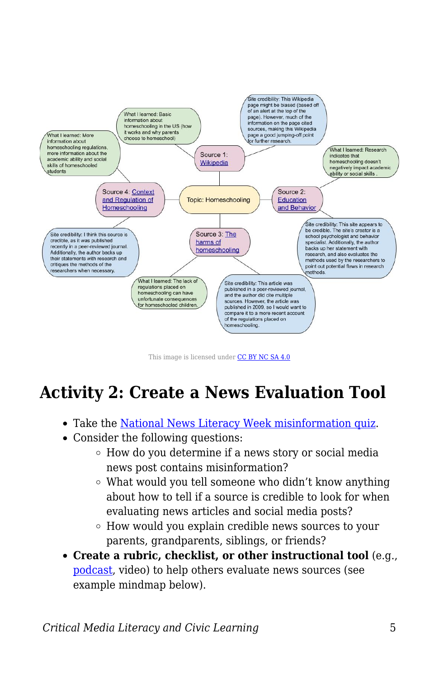

This image is licensed under [CC BY NC SA 4.0](https://creativecommons.org/licenses/by-nc-sa/4.0/)

## **Activity 2: Create a News Evaluation Tool**

- Take the [National News Literacy Week misinformation quiz](https://newslitproject.typeform.com/to/U41H0v7y).
- Consider the following questions:
	- How do you determine if a news story or social media news post contains misinformation?
	- What would you tell someone who didn't know anything about how to tell if a source is credible to look for when evaluating news articles and social media posts?
	- How would you explain credible news sources to your parents, grandparents, siblings, or friends?
- **Create a rubric, checklist, or other instructional tool** (e.g., [podcast,](https://docs.google.com/document/d/1YMVhXBhqUU4qDBLO1jYNpMG0IzAl_YLSJ3OndOm6C6k/edit?usp=sharing) video) to help others evaluate news sources (see example mindmap below).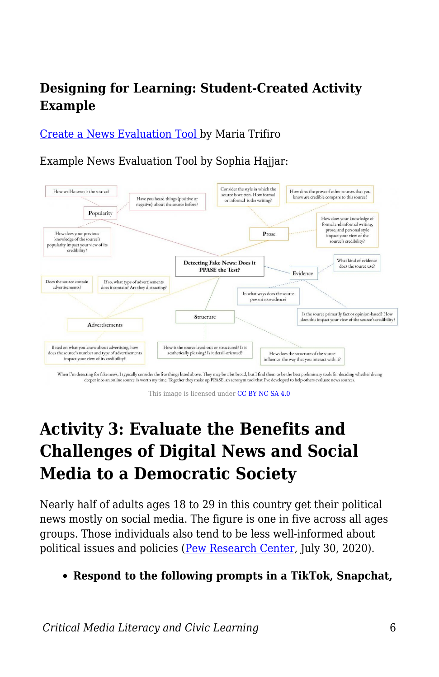### **Designing for Learning: Student-Created Activity Example**

[Create a News Evaluation Tool](https://docs.google.com/document/d/1wJz9dG8X0wKum-LaKELqusQJB_soGmMSNozcCjPX6iE/edit?usp=sharing) by Maria Trifiro

Example News Evaluation Tool by Sophia Hajjar:



This image is licensed under [CC BY NC SA 4.0](https://creativecommons.org/licenses/by-nc-sa/4.0/)

## **Activity 3: Evaluate the Benefits and Challenges of Digital News and Social Media to a Democratic Society**

Nearly half of adults ages 18 to 29 in this country get their political news mostly on social media. The figure is one in five across all ages groups. Those individuals also tend to be less well-informed about political issues and policies [\(Pew Research Center,](https://www.journalism.org/2020/07/30/americans-who-mainly-get-their-news-on-social-media-are-less-engaged-less-knowledgeable/) July 30, 2020).

**Respond to the following prompts in a TikTok, Snapchat,**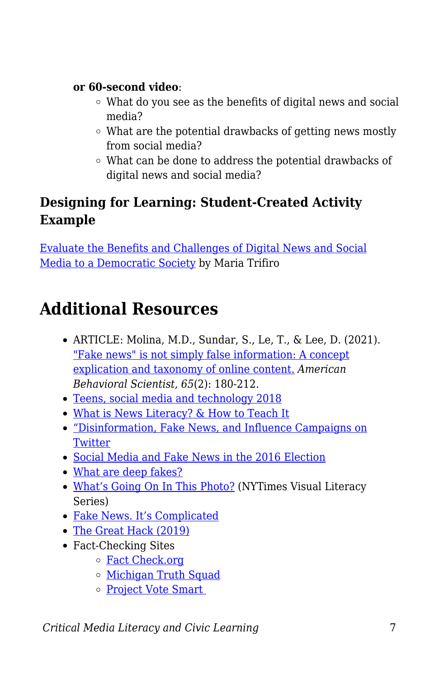#### **or 60-second video**:

- What do you see as the benefits of digital news and social media?
- What are the potential drawbacks of getting news mostly from social media?
- What can be done to address the potential drawbacks of digital news and social media?

## **Designing for Learning: Student-Created Activity Example**

[Evaluate the Benefits and Challenges of Digital News and Social](https://youtu.be/8pUKqAAavYg) [Media to a Democratic Society](https://youtu.be/8pUKqAAavYg) by Maria Trifiro

## **Additional Resources**

- ARTICLE: Molina, M.D., Sundar, S., Le, T., & Lee, D. (2021). ["Fake news" is not simply false information: A concept](https://journals.sagepub.com/doi/full/10.1177/0002764219878224) [explication and taxonomy of online content.](https://journals.sagepub.com/doi/full/10.1177/0002764219878224) *American Behavioral Scientist, 65*(2): 180-212.
- [Teens, social media and technology 2018](https://www.pewresearch.org/internet/2018/05/31/teens-social-media-technology-2018/)
- [What is News Literacy? & How to Teach It](http://www.centerfornewsliteracy.org/what-is-news-literacy/)
- ["Disinformation, Fake News, and Influence Campaigns on](https://knightfoundation.org/reports/disinformation-fake-news-and-influence-campaigns-on-twitter) **[Twitter](https://knightfoundation.org/reports/disinformation-fake-news-and-influence-campaigns-on-twitter)**
- [Social Media and Fake News in the 2016 Election](https://web.stanford.edu/~gentzkow/research/fakenews.pdf)
- [What are deep fakes?](https://www.theguardian.com/technology/2020/jan/13/what-are-deepfakes-and-how-can-you-spot-them)
- [What's Going On In This Photo?](https://www.nytimes.com/column/learning-whats-going-on-in-this-picture) (NYTimes Visual Literacy Series)
- [Fake News. It's Complicated](https://firstdraftnews.org/latest/fake-news-complicated/)
- [The Great Hack \(2019\)](https://www.netflix.com/title/80117542)
- Fact-Checking Sites
	- [Fact Check.org](https://www.factcheck.org/)
	- [Michigan Truth Squad](https://www.bridgemi.com/topics/michigan-truth-squad)
	- [Project Vote Smart](http://votesmart.org/index.htm)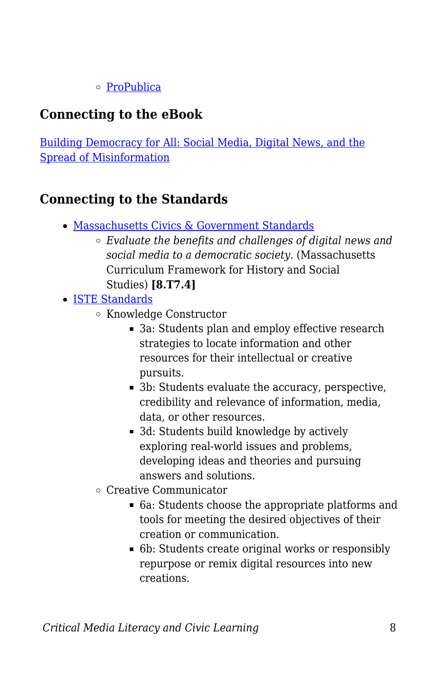#### o [ProPublica](https://www.propublica.org/)

## **Connecting to the eBook**

[Building Democracy for All: Social Media, Digital News, and the](https://edtechbooks.org/democracy/digital_news#h2_VQpMk) [Spread of Misinformation](https://edtechbooks.org/democracy/digital_news#h2_VQpMk)

### **Connecting to the Standards**

- [Massachusetts Civics & Government Standards](https://www.doe.mass.edu/frameworks/hss/2018-12.pdf)
	- *Evaluate the benefits and challenges of digital news and social media to a democratic society.* (Massachusetts Curriculum Framework for History and Social Studies) **[8.T7.4]**
- [ISTE Standards](https://www.iste.org/standards/for-students)
	- Knowledge Constructor
		- 3a: Students plan and employ effective research strategies to locate information and other resources for their intellectual or creative pursuits.
		- 3b: Students evaluate the accuracy, perspective, credibility and relevance of information, media, data, or other resources.
		- 3d: Students build knowledge by actively exploring real-world issues and problems, developing ideas and theories and pursuing answers and solutions.
	- Creative Communicator
		- 6a: Students choose the appropriate platforms and tools for meeting the desired objectives of their creation or communication.
		- 6b: Students create original works or responsibly repurpose or remix digital resources into new creations.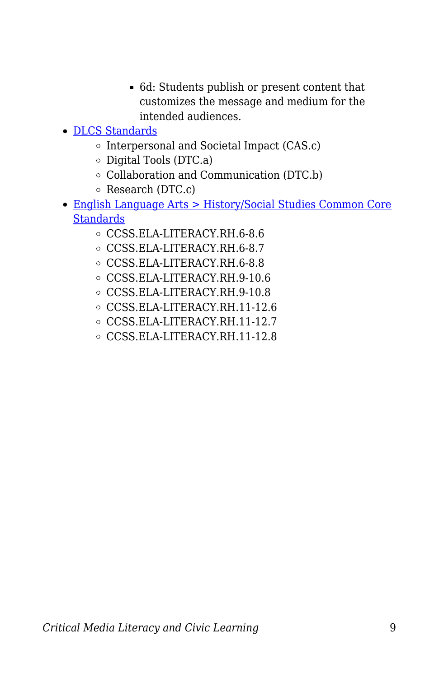- 6d: Students publish or present content that customizes the message and medium for the intended audiences.
- [DLCS Standards](https://www.doe.mass.edu/stem/dlcs/?section=planningtools)
	- o Interpersonal and Societal Impact (CAS.c)
	- $\circ$  Digital Tools (DTC.a)
	- Collaboration and Communication (DTC.b)
	- Research (DTC.c)
- [English Language Arts > History/Social Studies Common Core](http://www.corestandards.org/ELA-Literacy/RH/introduction/) **[Standards](http://www.corestandards.org/ELA-Literacy/RH/introduction/)** 
	- CCSS.ELA-LITERACY.RH.6-8.6
	- CCSS.ELA-LITERACY.RH.6-8.7
	- CCSS.ELA-LITERACY.RH.6-8.8
	- CCSS.ELA-LITERACY.RH.9-10.6
	- CCSS.ELA-LITERACY.RH.9-10.8
	- CCSS.ELA-LITERACY.RH.11-12.6
	- CCSS.ELA-LITERACY.RH.11-12.7
	- CCSS.ELA-LITERACY.RH.11-12.8